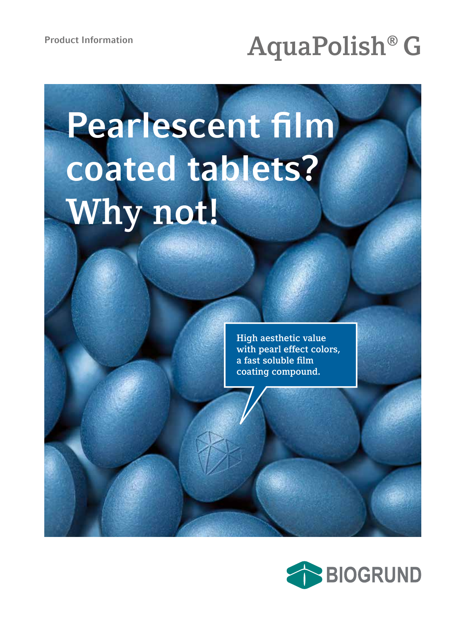# Product Information<br> **AquaPolish® G**

# **Pearlescent film coated tablets? Why not!**

**High aesthetic value with pearl effect colors, a fast soluble film coating compound.**